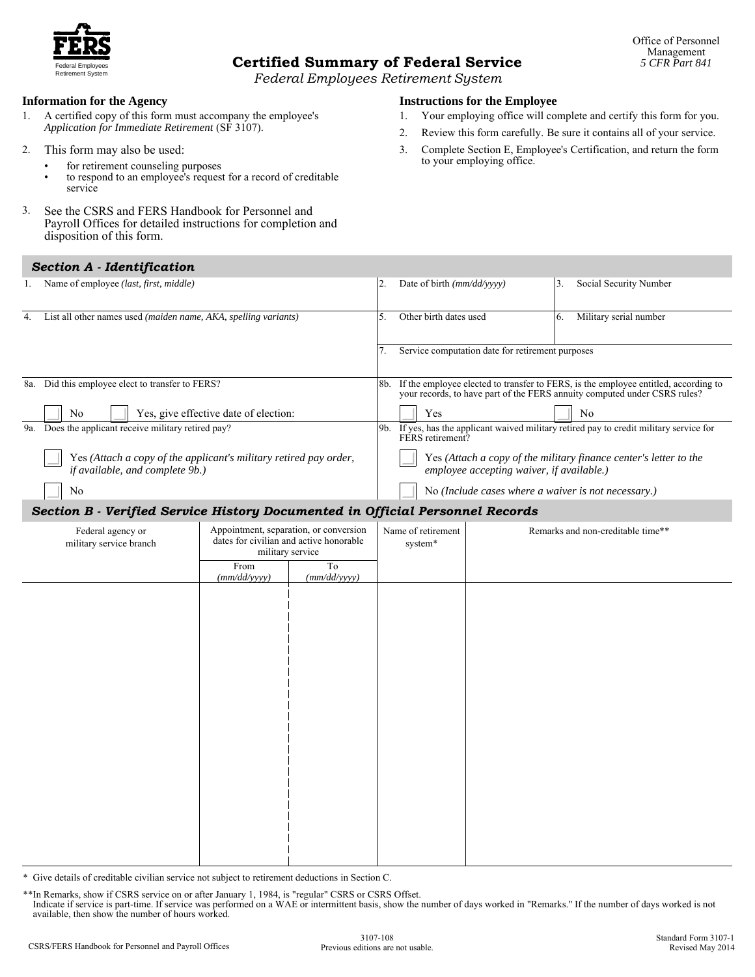

# Federal Employees **Certified Summary of Federal Service** *5 CFR Part 841*

Retirement System *Federal Employees Retirement System*

#### **Information for the Agency**

- 1. A certified copy of this form must accompany the employee's *Application for Immediate Retirement* (SF 3107).
- 2. This form may also be used:
	- for retirement counseling purposes
	- to respond to an employee's request for a record of creditable service
- 3. See the CSRS and FERS Handbook for Personnel and Payroll Offices for detailed instructions for completion and disposition of this form.

### *Section A - Identification*

- **Instructions for the Employee**
- 1. Your employing office will complete and certify this form for you.
- 2. Review this form carefully. Be sure it contains all of your service.
- 3. Complete Section E, Employee's Certification, and return the form to your employing office.

|                                                                               | Section A - Identification                                                                           |     |                                                                                                                                                                  |     |                                                                   |  |
|-------------------------------------------------------------------------------|------------------------------------------------------------------------------------------------------|-----|------------------------------------------------------------------------------------------------------------------------------------------------------------------|-----|-------------------------------------------------------------------|--|
|                                                                               | Name of employee (last, first, middle)                                                               | 2.  | Date of birth $\langle \frac{mm}{dd}/\rangle$ yyyy                                                                                                               | 3   | Social Security Number                                            |  |
|                                                                               | List all other names used (maiden name, AKA, spelling variants)                                      |     | Other birth dates used                                                                                                                                           | -6. | Military serial number                                            |  |
|                                                                               |                                                                                                      |     | Service computation date for retirement purposes                                                                                                                 |     |                                                                   |  |
| 8a.                                                                           | Did this employee elect to transfer to FERS?                                                         | -8b | If the employee elected to transfer to FERS, is the employee entitled, according to<br>your records, to have part of the FERS annuity computed under CSRS rules? |     |                                                                   |  |
|                                                                               | Yes, give effective date of election:<br>N <sub>0</sub>                                              |     | Yes                                                                                                                                                              |     | N <sub>0</sub>                                                    |  |
| 9a.                                                                           | Does the applicant receive military retired pay?                                                     | 9b. | If yes, has the applicant waived military retired pay to credit military service for<br>FERS retirement?                                                         |     |                                                                   |  |
|                                                                               | Yes (Attach a copy of the applicant's military retired pay order,<br>if available, and complete 9b.) |     | employee accepting waiver, if available.)                                                                                                                        |     | Yes (Attach a copy of the military finance center's letter to the |  |
|                                                                               | No                                                                                                   |     | No (Include cases where a waiver is not necessary.)                                                                                                              |     |                                                                   |  |
| Section B - Verified Service History Documented in Official Personnel Records |                                                                                                      |     |                                                                                                                                                                  |     |                                                                   |  |
|                                                                               |                                                                                                      |     |                                                                                                                                                                  |     |                                                                   |  |

| Federal agency or<br>military service branch | Appointment, separation, or conversion<br>dates for civilian and active honorable<br>military service |                    | Name of retirement<br>system* | Remarks and non-creditable time** |  |  |
|----------------------------------------------|-------------------------------------------------------------------------------------------------------|--------------------|-------------------------------|-----------------------------------|--|--|
|                                              | From<br>(mm/dd/yyyy)                                                                                  | To<br>(mm/dd/yyyy) |                               |                                   |  |  |
|                                              |                                                                                                       |                    |                               |                                   |  |  |
|                                              |                                                                                                       |                    |                               |                                   |  |  |
|                                              |                                                                                                       |                    |                               |                                   |  |  |
|                                              |                                                                                                       |                    |                               |                                   |  |  |
|                                              |                                                                                                       |                    |                               |                                   |  |  |
|                                              |                                                                                                       |                    |                               |                                   |  |  |
|                                              |                                                                                                       |                    |                               |                                   |  |  |
|                                              |                                                                                                       |                    |                               |                                   |  |  |
|                                              |                                                                                                       |                    |                               |                                   |  |  |
|                                              |                                                                                                       |                    |                               |                                   |  |  |
|                                              |                                                                                                       |                    |                               |                                   |  |  |
|                                              |                                                                                                       |                    |                               |                                   |  |  |
|                                              |                                                                                                       |                    |                               |                                   |  |  |

letails of creditable civilian service not subject to retirement deductions in Section C.

\*\*In Remarks, show if CSRS service on or after January 1, 1984, is "regular" CSRS or CSRS Offset. Indicate if service is part-time. If service was performed on a WAE or intermittent basis, show the number of days worked in "Remarks." If the number of days worked is not available, then show the number of hours worked.